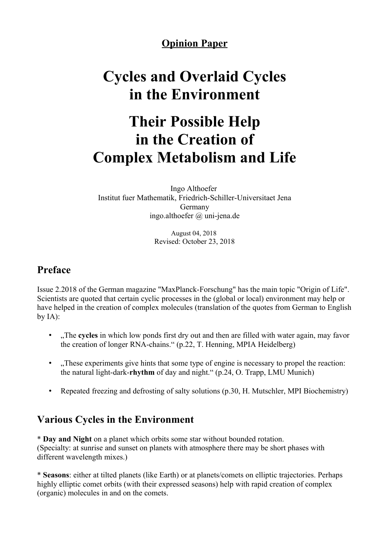## **Opinion Paper**

# **Cycles and Overlaid Cycles in the Environment**

# **Their Possible Help in the Creation of Complex Metabolism and Life**

Ingo Althoefer Institut fuer Mathematik, Friedrich-Schiller-Universitaet Jena Germany ingo.althoefer @ uni-jena.de

> August 04, 2018 Revised: October 23, 2018

#### **Preface**

Issue 2.2018 of the German magazine "MaxPlanck-Forschung" has the main topic "Origin of Life". Scientists are quoted that certain cyclic processes in the (global or local) environment may help or have helped in the creation of complex molecules (translation of the quotes from German to English by  $IA$ :

- The **cycles** in which low ponds first dry out and then are filled with water again, may favor the creation of longer RNA-chains." (p.22, T. Henning, MPIA Heidelberg)
- "These experiments give hints that some type of engine is necessary to propel the reaction: the natural light-dark-**rhythm** of day and night." (p.24, O. Trapp, LMU Munich)
- Repeated freezing and defrosting of salty solutions (p.30, H. Mutschler, MPI Biochemistry)

# **Various Cycles in the Environment**

\* **Day and Night** on a planet which orbits some star without bounded rotation. (Specialty: at sunrise and sunset on planets with atmosphere there may be short phases with different wavelength mixes.)

\* **Seasons**: either at tilted planets (like Earth) or at planets/comets on elliptic trajectories. Perhaps highly elliptic comet orbits (with their expressed seasons) help with rapid creation of complex (organic) molecules in and on the comets.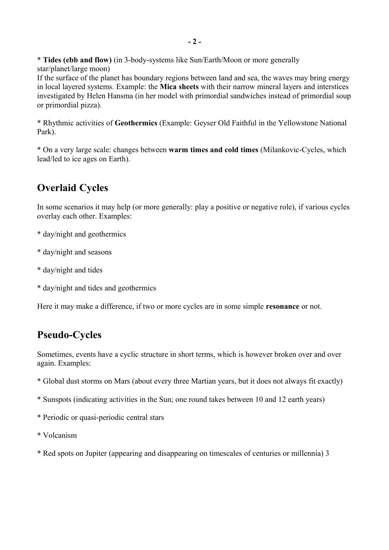\* **Tides (ebb and flow)** (in 3-body-systems like Sun/Earth/Moon or more generally star/planet/large moon)

If the surface of the planet has boundary regions between land and sea, the waves may bring energy in local layered systems. Example: the **Mica sheets** with their narrow mineral layers and interstices investigated by Helen Hansma (in her model with primordial sandwiches instead of primordial soup or primordial pizza).

\* Rhythmic activities of **Geothermics** (Example: Geyser Old Faithful in the Yellowstone National Park).

\* On a very large scale: changes between **warm times and cold times** (Milankovic-Cycles, which lead/led to ice ages on Earth).

## **Overlaid Cycles**

In some scenarios it may help (or more generally: play a positive or negative role), if various cycles overlay each other. Examples:

- \* day/night and geothermics
- \* day/night and seasons
- \* day/night and tides
- \* day/night and tides and geothermics

Here it may make a difference, if two or more cycles are in some simple **resonance** or not.

#### **Pseudo-Cycles**

Sometimes, events have a cyclic structure in short terms, which is however broken over and over again. Examples:

- \* Global dust storms on Mars (about every three Martian years, but it does not always fit exactly)
- \* Sunspots (indicating activities in the Sun; one round takes between 10 and 12 earth years)
- \* Periodic or quasi-periodic central stars
- \* Volcanism
- \* Red spots on Jupiter (appearing and disappearing on timescales of centuries or millennia) 3